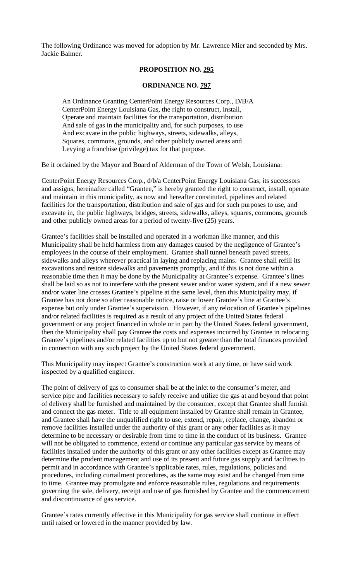The following Ordinance was moved for adoption by Mr. Lawrence Mier and seconded by Mrs. Jackie Balmer.

## **PROPOSITION NO. 295**

### **ORDINANCE NO. 797**

An Ordinance Granting CenterPoint Energy Resources Corp., D/B/A CenterPoint Energy Louisiana Gas, the right to construct, install, Operate and maintain facilities for the transportation, distribution And sale of gas in the municipality and, for such purposes, to use And excavate in the public highways, streets, sidewalks, alleys, Squares, commons, grounds, and other publicly owned areas and Levying a franchise (privilege) tax for that purpose.

Be it ordained by the Mayor and Board of Alderman of the Town of Welsh, Louisiana:

CenterPoint Energy Resources Corp., d/b/a CenterPoint Energy Louisiana Gas, its successors and assigns, hereinafter called "Grantee," is hereby granted the right to construct, install, operate and maintain in this municipality, as now and hereafter constituted, pipelines and related facilities for the transportation, distribution and sale of gas and for such purposes to use, and excavate in, the public highways, bridges, streets, sidewalks, alleys, squares, commons, grounds and other publicly owned areas for a period of twenty-five (25) years.

Grantee's facilities shall be installed and operated in a workman like manner, and this Municipality shall be held harmless from any damages caused by the negligence of Grantee's employees in the course of their employment. Grantee shall tunnel beneath paved streets, sidewalks and alleys wherever practical in laying and replacing mains. Grantee shall refill its excavations and restore sidewalks and pavements promptly, and if this is not done within a reasonable time then it may be done by the Municipality at Grantee's expense. Grantee's lines shall be laid so as not to interfere with the present sewer and/or water system, and if a new sewer and/or water line crosses Grantee's pipeline at the same level, then this Municipality may, if Grantee has not done so after reasonable notice, raise or lower Grantee's line at Grantee's expense but only under Grantee's supervision. However, if any relocation of Grantee's pipelines and/or related facilities is required as a result of any project of the United States federal government or any project financed in whole or in part by the United States federal government, then the Municipality shall pay Grantee the costs and expenses incurred by Grantee in relocating Grantee's pipelines and/or related facilities up to but not greater than the total finances provided in connection with any such project by the United States federal government.

This Municipality may inspect Grantee's construction work at any time, or have said work inspected by a qualified engineer.

The point of delivery of gas to consumer shall be at the inlet to the consumer's meter, and service pipe and facilities necessary to safely receive and utilize the gas at and beyond that point of delivery shall be furnished and maintained by the consumer, except that Grantee shall furnish and connect the gas meter. Title to all equipment installed by Grantee shall remain in Grantee, and Grantee shall have the unqualified right to use, extend, repair, replace, change, abandon or remove facilities installed under the authority of this grant or any other facilities as it may determine to be necessary or desirable from time to time in the conduct of its business. Grantee will not be obligated to commence, extend or continue any particular gas service by means of facilities installed under the authority of this grant or any other facilities except as Grantee may determine the prudent management and use of its present and future gas supply and facilities to permit and in accordance with Grantee's applicable rates, rules, regulations, policies and procedures, including curtailment procedures, as the same may exist and be changed from time to time. Grantee may promulgate and enforce reasonable rules, regulations and requirements governing the sale, delivery, receipt and use of gas furnished by Grantee and the commencement and discontinuance of gas service.

Grantee's rates currently effective in this Municipality for gas service shall continue in effect until raised or lowered in the manner provided by law.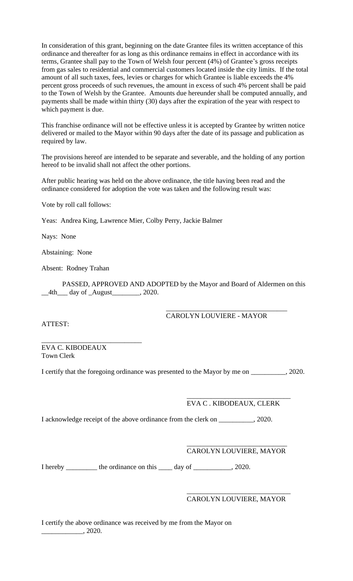In consideration of this grant, beginning on the date Grantee files its written acceptance of this ordinance and thereafter for as long as this ordinance remains in effect in accordance with its terms, Grantee shall pay to the Town of Welsh four percent (4%) of Grantee's gross receipts from gas sales to residential and commercial customers located inside the city limits. If the total amount of all such taxes, fees, levies or charges for which Grantee is liable exceeds the 4% percent gross proceeds of such revenues, the amount in excess of such 4% percent shall be paid to the Town of Welsh by the Grantee. Amounts due hereunder shall be computed annually, and payments shall be made within thirty (30) days after the expiration of the year with respect to which payment is due.

This franchise ordinance will not be effective unless it is accepted by Grantee by written notice delivered or mailed to the Mayor within 90 days after the date of its passage and publication as required by law.

The provisions hereof are intended to be separate and severable, and the holding of any portion hereof to be invalid shall not affect the other portions.

After public hearing was held on the above ordinance, the title having been read and the ordinance considered for adoption the vote was taken and the following result was:

Vote by roll call follows:

Yeas: Andrea King, Lawrence Mier, Colby Perry, Jackie Balmer

Nays: None

Abstaining: None

Absent: Rodney Trahan

PASSED, APPROVED AND ADOPTED by the Mayor and Board of Aldermen on this  $\_4th$  day of  $\_August$ , 2020.

## CAROLYN LOUVIERE - MAYOR

\_\_\_\_\_\_\_\_\_\_\_\_\_\_\_\_\_\_\_\_\_\_\_\_\_\_\_\_\_\_\_\_\_\_\_

ATTEST:

\_\_\_\_\_\_\_\_\_\_\_\_\_\_\_\_\_\_\_\_\_\_\_\_\_\_\_\_\_ EVA C. KIBODEAUX Town Clerk

I certify that the foregoing ordinance was presented to the Mayor by me on \_\_\_\_\_\_\_\_\_\_, 2020.

# EVA C . KIBODEAUX, CLERK

\_\_\_\_\_\_\_\_\_\_\_\_\_\_\_\_\_\_\_\_\_\_\_\_\_\_\_\_\_\_

I acknowledge receipt of the above ordinance from the clerk on \_\_\_\_\_\_\_\_\_\_, 2020.

### \_\_\_\_\_\_\_\_\_\_\_\_\_\_\_\_\_\_\_\_\_\_\_\_\_\_\_\_\_ CAROLYN LOUVIERE, MAYOR

I hereby \_\_\_\_\_\_\_\_\_ the ordinance on this \_\_\_\_\_ day of \_\_\_\_\_\_\_\_\_\_, 2020.

#### \_\_\_\_\_\_\_\_\_\_\_\_\_\_\_\_\_\_\_\_\_\_\_\_\_\_\_\_\_\_ CAROLYN LOUVIERE, MAYOR

I certify the above ordinance was received by me from the Mayor on  $\frac{2020}{\ldots}$